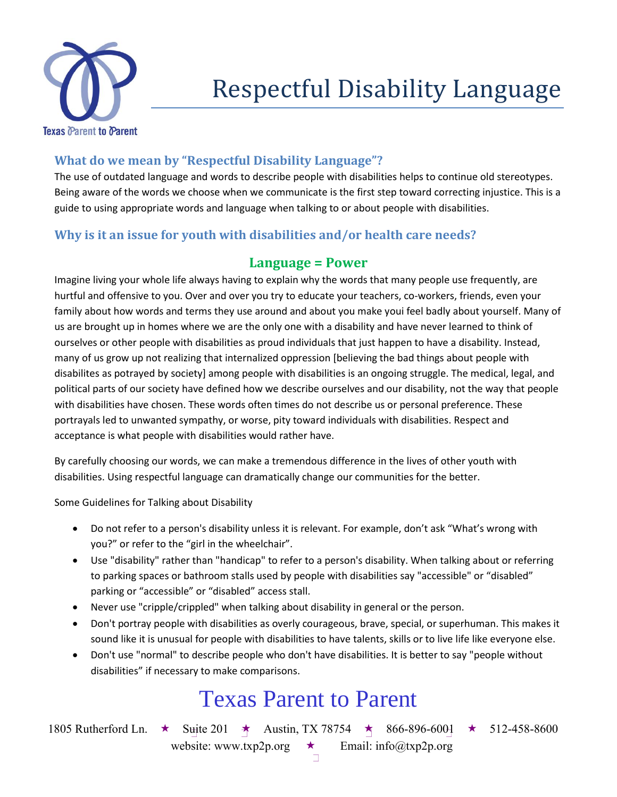

## **What do we mean by "Respectful Disability Language"?**

The use of outdated language and words to describe people with disabilities helps to continue old stereotypes. Being aware of the words we choose when we communicate is the first step toward correcting injustice. This is a guide to using appropriate words and language when talking to or about people with disabilities.

## **Why is it an issue for youth with disabilities and/or health care needs?**

#### **Language = Power**

Imagine living your whole life always having to explain why the words that many people use frequently, are hurtful and offensive to you. Over and over you try to educate your teachers, co-workers, friends, even your family about how words and terms they use around and about you make youi feel badly about yourself. Many of us are brought up in homes where we are the only one with a disability and have never learned to think of ourselves or other people with disabilities as proud individuals that just happen to have a disability. Instead, many of us grow up not realizing that internalized oppression [believing the bad things about people with disabilites as potrayed by society] among people with disabilities is an ongoing struggle. The medical, legal, and political parts of our society have defined how we describe ourselves and our disability, not the way that people with disabilities have chosen. These words often times do not describe us or personal preference. These portrayals led to unwanted sympathy, or worse, pity toward individuals with disabilities. Respect and acceptance is what people with disabilities would rather have.

By carefully choosing our words, we can make a tremendous difference in the lives of other youth with disabilities. Using respectful language can dramatically change our communities for the better.

Some Guidelines for Talking about Disability

- Do not refer to a person's disability unless it is relevant. For example, don't ask "What's wrong with you?" or refer to the "girl in the wheelchair".
- Use "disability" rather than "handicap" to refer to a person's disability. When talking about or referring to parking spaces or bathroom stalls used by people with disabilities say "accessible" or "disabled" parking or "accessible" or "disabled" access stall.
- Never use "cripple/crippled" when talking about disability in general or the person.
- Don't portray people with disabilities as overly courageous, brave, special, or superhuman. This makes it sound like it is unusual for people with disabilities to have talents, skills or to live life like everyone else.
- Don't use "normal" to describe people who don't have disabilities. It is better to say "people without disabilities" if necessary to make comparisons.

# Texas Parent to Parent

1805 Rutherford Ln.  $\star$  Suite 201  $\star$  Austin, TX 78754  $\star$  866-896-6001  $\star$  512-458-8600 website: www.txp2p.org  $\star$  Email: info@txp2p.org